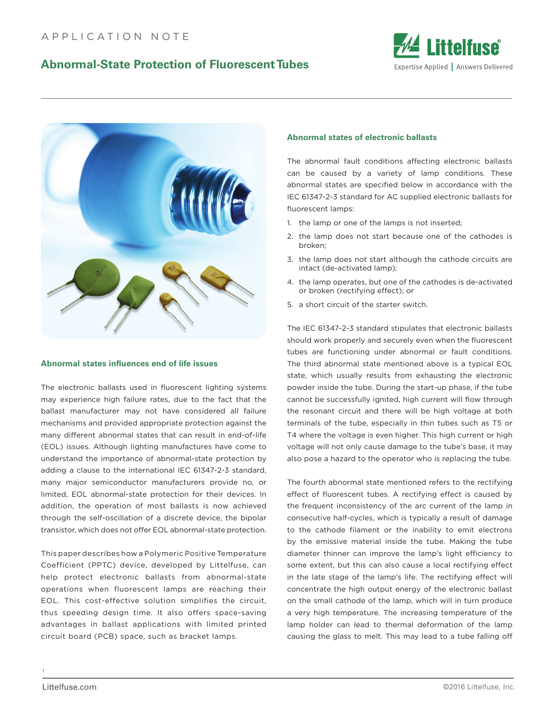# **Abnormal-State Protection of Fluorescent Tubes**





### **Abnormal states influences end of life issues**

The electronic ballasts used in fluorescent lighting systems may experience high failure rates, due to the fact that the ballast manufacturer may not have considered all failure mechanisms and provided appropriate protection against the many different abnormal states that can result in end-of-life (EOL) issues. Although lighting manufactures have come to understand the importance of abnormal-state protection by adding a clause to the international IEC 61347-2-3 standard, many major semiconductor manufacturers provide no, or limited, EOL abnormal-state protection for their devices. In addition, the operation of most ballasts is now achieved through the self-oscillation of a discrete device, the bipolar transistor, which does not offer EOL abnormal-state protection.

This paper describes how a Polymeric Positive Temperature Coefficient (PPTC) device, developed by Littelfuse, can help protect electronic ballasts from abnormal-state operations when fluorescent lamps are reaching their EOL. This cost-effective solution simplifies the circuit, thus speeding design time. It also offers space-saving advantages in ballast applications with limited printed circuit board (PCB) space, such as bracket lamps.

#### **Abnormal states of electronic ballasts**

The abnormal fault conditions affecting electronic ballasts can be caused by a variety of lamp conditions. These abnormal states are specified below in accordance with the IEC 61347-2-3 standard for AC supplied electronic ballasts for fluorescent lamps:

- 1. the lamp or one of the lamps is not inserted;
- 2. the lamp does not start because one of the cathodes is broken;
- 3. the lamp does not start although the cathode circuits are intact (de-activated lamp);
- 4. the lamp operates, but one of the cathodes is de-activated or broken (rectifying effect); or
- 5. a short circuit of the starter switch.

The IEC 61347-2-3 standard stipulates that electronic ballasts should work properly and securely even when the fluorescent tubes are functioning under abnormal or fault conditions. The third abnormal state mentioned above is a typical EOL state, which usually results from exhausting the electronic powder inside the tube. During the start-up phase, if the tube cannot be successfully ignited, high current will flow through the resonant circuit and there will be high voltage at both terminals of the tube, especially in thin tubes such as T5 or T4 where the voltage is even higher. This high current or high voltage will not only cause damage to the tube's base, it may also pose a hazard to the operator who is replacing the tube.

The fourth abnormal state mentioned refers to the rectifying effect of fluorescent tubes. A rectifying effect is caused by the frequent inconsistency of the arc current of the lamp in consecutive half-cycles, which is typically a result of damage to the cathode filament or the inability to emit electrons by the emissive material inside the tube. Making the tube diameter thinner can improve the lamp's light efficiency to some extent, but this can also cause a local rectifying effect in the late stage of the lamp's life. The rectifying effect will concentrate the high output energy of the electronic ballast on the small cathode of the lamp, which will in turn produce a very high temperature. The increasing temperature of the lamp holder can lead to thermal deformation of the lamp causing the glass to melt. This may lead to a tube falling off

1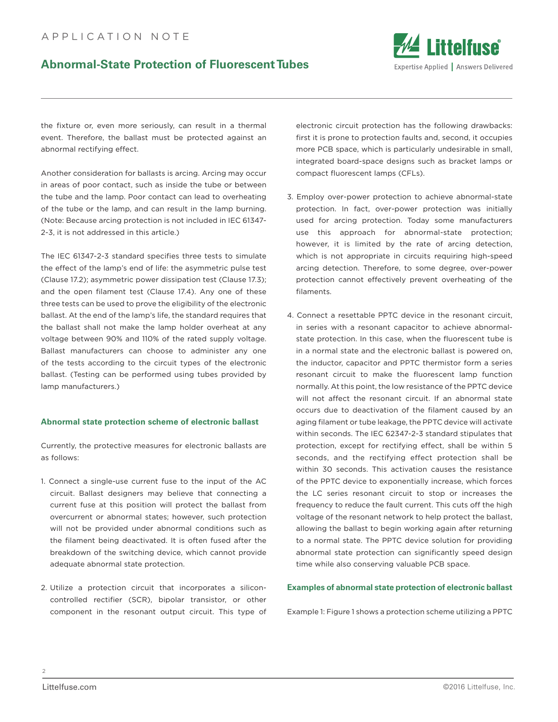## APPLICATION NOTE

# **Abnormal-State Protection of Fluorescent Tubes**



the fixture or, even more seriously, can result in a thermal event. Therefore, the ballast must be protected against an abnormal rectifying effect.

Another consideration for ballasts is arcing. Arcing may occur in areas of poor contact, such as inside the tube or between the tube and the lamp. Poor contact can lead to overheating of the tube or the lamp, and can result in the lamp burning. (Note: Because arcing protection is not included in IEC 61347- 2-3, it is not addressed in this article.)

The IEC 61347-2-3 standard specifies three tests to simulate the effect of the lamp's end of life: the asymmetric pulse test (Clause 17.2); asymmetric power dissipation test (Clause 17.3); and the open filament test (Clause 17.4). Any one of these three tests can be used to prove the eligibility of the electronic ballast. At the end of the lamp's life, the standard requires that the ballast shall not make the lamp holder overheat at any voltage between 90% and 110% of the rated supply voltage. Ballast manufacturers can choose to administer any one of the tests according to the circuit types of the electronic ballast. (Testing can be performed using tubes provided by lamp manufacturers.)

#### **Abnormal state protection scheme of electronic ballast**

Currently, the protective measures for electronic ballasts are as follows:

- 1. Connect a single-use current fuse to the input of the AC circuit. Ballast designers may believe that connecting a current fuse at this position will protect the ballast from overcurrent or abnormal states; however, such protection will not be provided under abnormal conditions such as the filament being deactivated. It is often fused after the breakdown of the switching device, which cannot provide adequate abnormal state protection.
- 2. Utilize a protection circuit that incorporates a siliconcontrolled rectifier (SCR), bipolar transistor, or other component in the resonant output circuit. This type of

electronic circuit protection has the following drawbacks: first it is prone to protection faults and, second, it occupies more PCB space, which is particularly undesirable in small, integrated board-space designs such as bracket lamps or compact fluorescent lamps (CFLs).

- 3. Employ over-power protection to achieve abnormal-state protection. In fact, over-power protection was initially used for arcing protection. Today some manufacturers use this approach for abnormal-state protection; however, it is limited by the rate of arcing detection, which is not appropriate in circuits requiring high-speed arcing detection. Therefore, to some degree, over-power protection cannot effectively prevent overheating of the filaments.
- 4. Connect a resettable PPTC device in the resonant circuit, in series with a resonant capacitor to achieve abnormalstate protection. In this case, when the fluorescent tube is in a normal state and the electronic ballast is powered on, the inductor, capacitor and PPTC thermistor form a series resonant circuit to make the fluorescent lamp function normally. At this point, the low resistance of the PPTC device will not affect the resonant circuit. If an abnormal state occurs due to deactivation of the filament caused by an aging filament or tube leakage, the PPTC device will activate within seconds. The IEC 62347-2-3 standard stipulates that protection, except for rectifying effect, shall be within 5 seconds, and the rectifying effect protection shall be within 30 seconds. This activation causes the resistance of the PPTC device to exponentially increase, which forces the LC series resonant circuit to stop or increases the frequency to reduce the fault current. This cuts off the high voltage of the resonant network to help protect the ballast, allowing the ballast to begin working again after returning to a normal state. The PPTC device solution for providing abnormal state protection can significantly speed design time while also conserving valuable PCB space.

#### **Examples of abnormal state protection of electronic ballast**

Example 1: Figure 1 shows a protection scheme utilizing a PPTC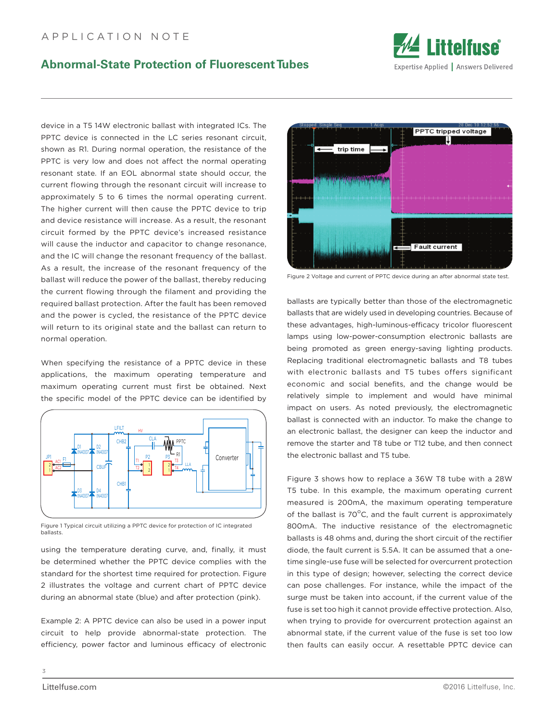### APPLICATION NOTE

# **Abnormal-State Protection of Fluorescent Tubes**



device in a T5 14W electronic ballast with integrated ICs. The PPTC device is connected in the LC series resonant circuit, shown as R1. During normal operation, the resistance of the PPTC is very low and does not affect the normal operating resonant state. If an EOL abnormal state should occur, the current flowing through the resonant circuit will increase to approximately 5 to 6 times the normal operating current. The higher current will then cause the PPTC device to trip and device resistance will increase. As a result, the resonant circuit formed by the PPTC device's increased resistance will cause the inductor and capacitor to change resonance, and the IC will change the resonant frequency of the ballast. As a result, the increase of the resonant frequency of the ballast will reduce the power of the ballast, thereby reducing the current flowing through the filament and providing the required ballast protection. After the fault has been removed and the power is cycled, the resistance of the PPTC device will return to its original state and the ballast can return to normal operation.

When specifying the resistance of a PPTC device in these applications, the maximum operating temperature and maximum operating current must first be obtained. Next the specific model of the PPTC device can be identified by



Figure 1 Typical circuit utilizing a PPTC device for protection of IC integrated ballasts.

using the temperature derating curve, and, finally, it must be determined whether the PPTC device complies with the standard for the shortest time required for protection. Figure 2 illustrates the voltage and current chart of PPTC device during an abnormal state (blue) and after protection (pink).

Example 2: A PPTC device can also be used in a power input circuit to help provide abnormal-state protection. The efficiency, power factor and luminous efficacy of electronic



Figure 2 Voltage and current of PPTC device during an after abnormal state test.

ballasts are typically better than those of the electromagnetic ballasts that are widely used in developing countries. Because of these advantages, high-luminous-efficacy tricolor fluorescent lamps using low-power-consumption electronic ballasts are being promoted as green energy-saving lighting products. Replacing traditional electromagnetic ballasts and T8 tubes with electronic ballasts and T5 tubes offers significant economic and social benefits, and the change would be relatively simple to implement and would have minimal impact on users. As noted previously, the electromagnetic ballast is connected with an inductor. To make the change to an electronic ballast, the designer can keep the inductor and remove the starter and T8 tube or T12 tube, and then connect the electronic ballast and T5 tube.

Figure 3 shows how to replace a 36W T8 tube with a 28W T5 tube. In this example, the maximum operating current measured is 200mA, the maximum operating temperature of the ballast is  $70^{\circ}$ C, and the fault current is approximately 800mA. The inductive resistance of the electromagnetic ballasts is 48 ohms and, during the short circuit of the rectifier diode, the fault current is 5.5A. It can be assumed that a onetime single-use fuse will be selected for overcurrent protection in this type of design; however, selecting the correct device can pose challenges. For instance, while the impact of the surge must be taken into account, if the current value of the fuse is set too high it cannot provide effective protection. Also, when trying to provide for overcurrent protection against an abnormal state, if the current value of the fuse is set too low then faults can easily occur. A resettable PPTC device can